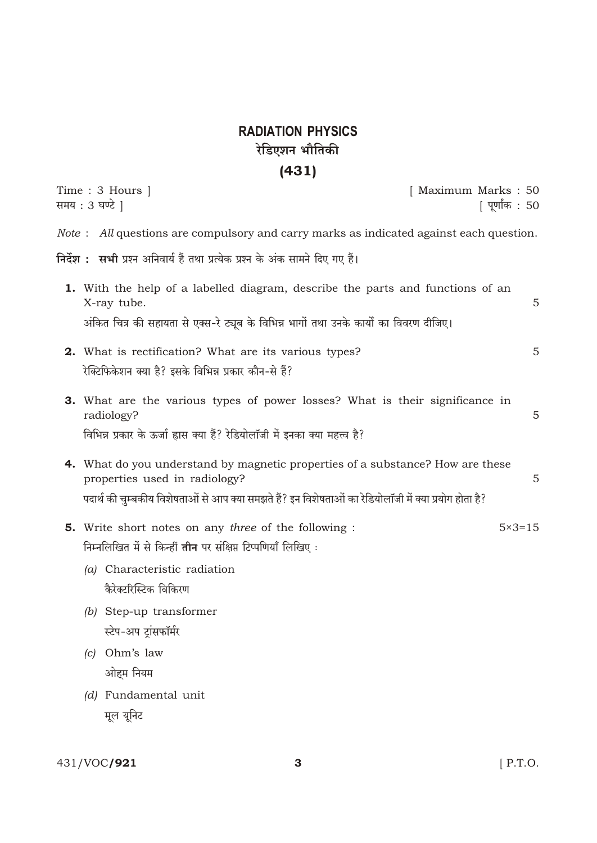## **RADIATION PHYSICS** रेडिएशन भौतिकी

## $(431)$

| Time : 3 Hours  <br>समय : 3 घण्टे                                                                                                                                                                                                |                                                                                                                                                                     |  | [ Maximum Marks : 50 | [ पूर्णांक : 50   |
|----------------------------------------------------------------------------------------------------------------------------------------------------------------------------------------------------------------------------------|---------------------------------------------------------------------------------------------------------------------------------------------------------------------|--|----------------------|-------------------|
|                                                                                                                                                                                                                                  | <i>Note</i> : All questions are compulsory and carry marks as indicated against each question.                                                                      |  |                      |                   |
|                                                                                                                                                                                                                                  | <b>निर्देश :   सभी</b> प्रश्न अनिवार्य हैं तथा प्रत्येक प्रश्न के अंक सामने दिए गए हैं।                                                                             |  |                      |                   |
| X-ray tube.                                                                                                                                                                                                                      | 1. With the help of a labelled diagram, describe the parts and functions of an                                                                                      |  |                      | 5                 |
|                                                                                                                                                                                                                                  | अंकित चित्र की सहायता से एक्स-रे ट्यूब के विभिन्न भागों तथा उनके कार्यों का विवरण दीजिए।                                                                            |  |                      |                   |
| रेक्टिफिकेशन क्या है? इसके विभिन्न प्रकार कौन-से हैं?                                                                                                                                                                            | 2. What is rectification? What are its various types?                                                                                                               |  |                      | 5                 |
| radiology?                                                                                                                                                                                                                       | <b>3.</b> What are the various types of power losses? What is their significance in<br>विभिन्न प्रकार के ऊर्जा ह्रास क्या हैं? रेडियोलॉजी में इनका क्या महत्त्व है? |  |                      | 5                 |
| <b>4.</b> What do you understand by magnetic properties of a substance? How are these<br>properties used in radiology?<br>पदार्थ की चुम्बकीय विशेषताओं से आप क्या समझते हैं? इन विशेषताओं का रेडियोलॉजी में क्या प्रयोग होता है? |                                                                                                                                                                     |  |                      | 5                 |
| (a) Characteristic radiation                                                                                                                                                                                                     | <b>5.</b> Write short notes on any <i>three</i> of the following :<br>निम्नलिखित में से किन्हीं <b>तीन</b> पर संक्षिप्त टिप्पणियाँ लिखिए:                           |  |                      | $5 \times 3 = 15$ |
| कैरेक्टरिस्टिक विकिरण<br>(b) Step-up transformer                                                                                                                                                                                 |                                                                                                                                                                     |  |                      |                   |
| स्टेप-अप ट्रांसफॉर्मर                                                                                                                                                                                                            |                                                                                                                                                                     |  |                      |                   |
| Ohm's law<br>(c)<br>ओहम नियम                                                                                                                                                                                                     |                                                                                                                                                                     |  |                      |                   |
| (d) Fundamental unit                                                                                                                                                                                                             |                                                                                                                                                                     |  |                      |                   |

मूल यूनिट

431/VOC/921